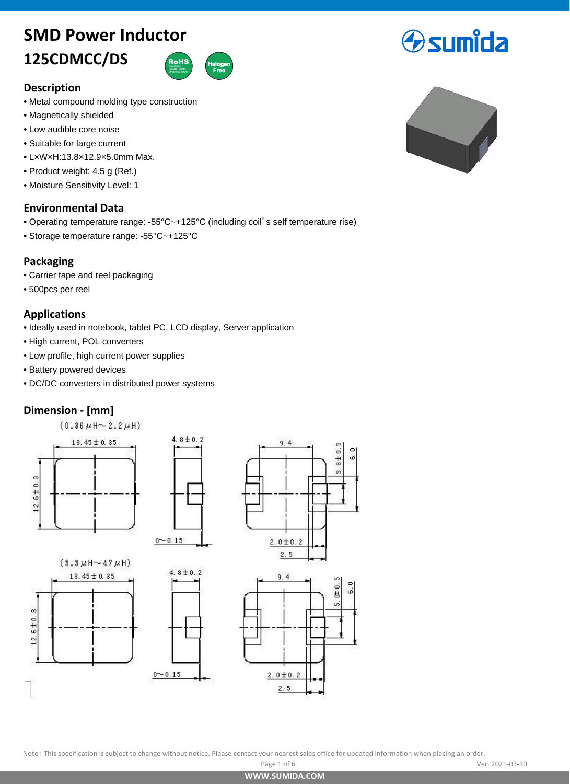# **SMD Power Inductor**

# **125CDMCC/DS**



# **Description**

- **•** Metal compound molding type construction
- **•** Magnetically shielded
- **•** Low audible core noise
- **•** Suitable for large current
- **•** L×W×H:13.8×12.9×5.0mm Max.
- **•** Product weight: 4.5 g (Ref.)
- **•** Moisture Sensitivity Level: 1

# **Environmental Data**

• Operating temperature range: -55°C~+125°C (including coil's self temperature rise)

 $4.8 \pm 0.2$ 

**•** Storage temperature range: -55°C~+125°C

# **Packaging**

- **•** Carrier tape and reel packaging
- **•** 500pcs per reel

# **Applications**

- **•** Ideally used in notebook, tablet PC, LCD display, Server application
- **•** High current, POL converters
- **•** Low profile, high current power supplies
- **•** Battery powered devices
- **•** DC/DC converters in distributed power systems

# **Dimension - [mm]**













Note: This specification is subject to change without notice. Please contact your nearest sales office for updated information when placing an order.

**[WWW.SUMIDA.COM](www.sumida.com)**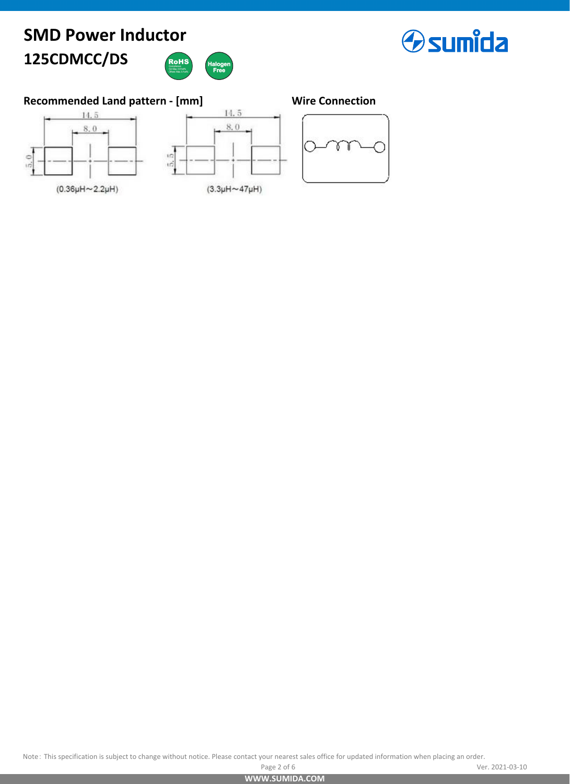### **SMD Power Inductor 125CDMCC/DS RoHS**





# **Recommended Land pattern - [mm] Wire Connection**





 $(3.3\mu H \sim 47\mu H)$ 

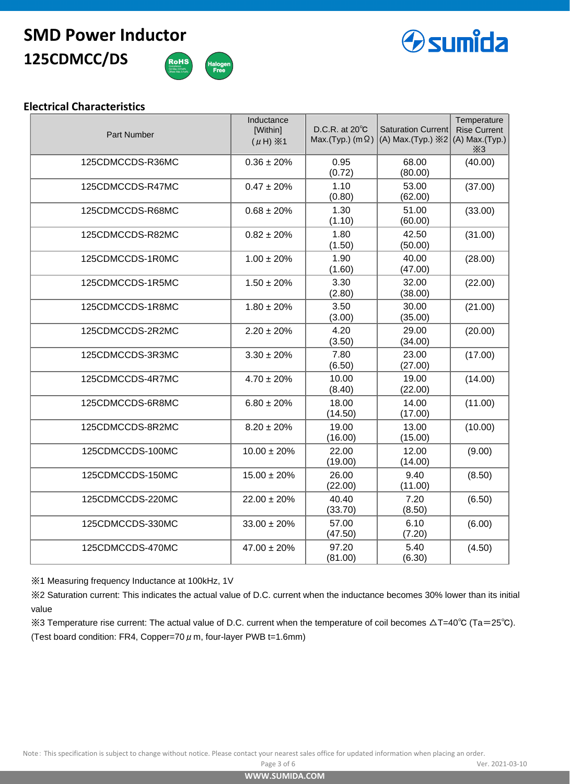# **125CDMCC/DS SMD Power Inductor**





### **Electrical Characteristics**

| <b>Part Number</b> | Inductance<br>[Within]<br>$(\mu H) \times 1$ | D.C.R. at $20^{\circ}$ C<br>Max.(Typ.) (m $\Omega$ ) | <b>Saturation Current</b><br>(A) Max.(Typ.) $\divideontimes$ 2 | Temperature<br><b>Rise Current</b><br>$(A)$ Max.(Typ.)<br>X3 |
|--------------------|----------------------------------------------|------------------------------------------------------|----------------------------------------------------------------|--------------------------------------------------------------|
| 125CDMCCDS-R36MC   | $0.36 \pm 20\%$                              | 0.95<br>(0.72)                                       | 68.00<br>(80.00)                                               | (40.00)                                                      |
| 125CDMCCDS-R47MC   | $0.47 \pm 20\%$                              | 1.10<br>(0.80)                                       | 53.00<br>(62.00)                                               | (37.00)                                                      |
| 125CDMCCDS-R68MC   | $0.68 \pm 20\%$                              | 1.30<br>(1.10)                                       | 51.00<br>(60.00)                                               | (33.00)                                                      |
| 125CDMCCDS-R82MC   | $0.82 \pm 20\%$                              | 1.80<br>(1.50)                                       | 42.50<br>(50.00)                                               | (31.00)                                                      |
| 125CDMCCDS-1R0MC   | $1.00 \pm 20\%$                              | 1.90<br>(1.60)                                       | 40.00<br>(47.00)                                               | (28.00)                                                      |
| 125CDMCCDS-1R5MC   | $1.50 \pm 20\%$                              | 3.30<br>(2.80)                                       | 32.00<br>(38.00)                                               | (22.00)                                                      |
| 125CDMCCDS-1R8MC   | $1.80 \pm 20\%$                              | 3.50<br>(3.00)                                       | 30.00<br>(35.00)                                               | (21.00)                                                      |
| 125CDMCCDS-2R2MC   | $2.20 \pm 20\%$                              | 4.20<br>(3.50)                                       | 29.00<br>(34.00)                                               | (20.00)                                                      |
| 125CDMCCDS-3R3MC   | $3.30 \pm 20\%$                              | 7.80<br>(6.50)                                       | 23.00<br>(27.00)                                               | (17.00)                                                      |
| 125CDMCCDS-4R7MC   | $4.70 \pm 20\%$                              | 10.00<br>(8.40)                                      | 19.00<br>(22.00)                                               | (14.00)                                                      |
| 125CDMCCDS-6R8MC   | $6.80 \pm 20\%$                              | 18.00<br>(14.50)                                     | 14.00<br>(17.00)                                               | (11.00)                                                      |
| 125CDMCCDS-8R2MC   | $8.20 \pm 20\%$                              | 19.00<br>(16.00)                                     | 13.00<br>(15.00)                                               | (10.00)                                                      |
| 125CDMCCDS-100MC   | $10.00 \pm 20\%$                             | 22.00<br>(19.00)                                     | 12.00<br>(14.00)                                               | (9.00)                                                       |
| 125CDMCCDS-150MC   | $15.00 \pm 20\%$                             | 26.00<br>(22.00)                                     | 9.40<br>(11.00)                                                | (8.50)                                                       |
| 125CDMCCDS-220MC   | $22.00 \pm 20\%$                             | 40.40<br>(33.70)                                     | 7.20<br>(8.50)                                                 | (6.50)                                                       |
| 125CDMCCDS-330MC   | $33.00 \pm 20\%$                             | 57.00<br>(47.50)                                     | 6.10<br>(7.20)                                                 | (6.00)                                                       |
| 125CDMCCDS-470MC   | $47.00 \pm 20\%$                             | 97.20<br>(81.00)                                     | 5.40<br>(6.30)                                                 | (4.50)                                                       |

※1 Measuring frequency Inductance at 100kHz, 1V

※2 Saturation current: This indicates the actual value of D.C. current when the inductance becomes 30% lower than its initial value

※3 Temperature rise current: The actual value of D.C. current when the temperature of coil becomes △T=40℃ (Ta=25℃). (Test board condition: FR4, Copper=70  $\mu$  m, four-layer PWB t=1.6mm)

Note: This specification is subject to change without notice. Please contact your nearest sales office for updated information when placing an order.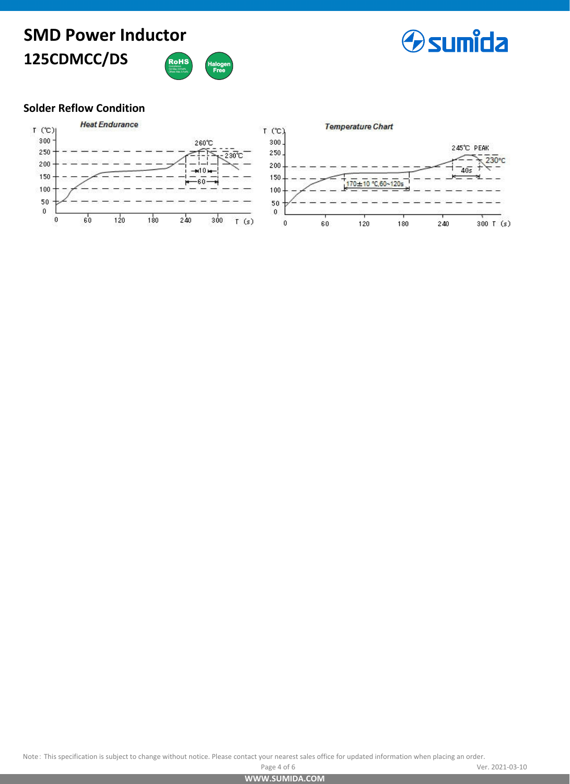# **SMD Power Inductor 125CDMCC/DS** RoHS



### **Solder Reflow Condition**



Note: This specification is subject to change without notice. Please contact your nearest sales office for updated information when placing an order.<br>Ve

**[WWW.SUMIDA.COM](www.sumida.com)**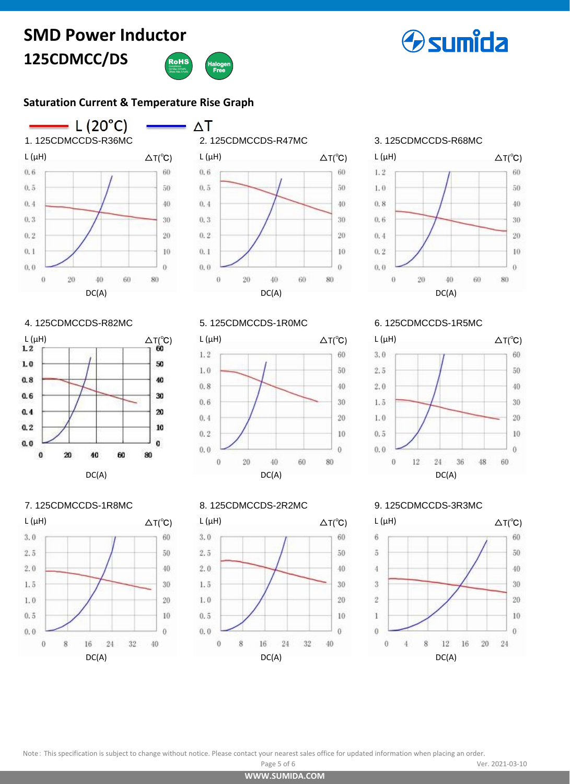# **125CDMCC/DS SMD Power Inductor**



### **[Saturation Current & Temperature Rise Graph](http://www.sumida.com/about/index.php?categoryId=20)**





# 3. 125CDMCCDS-R68MC



### 4. 125CDMCCDS-R82MC



### 5. 125CDMCCDS-1R0MC



#### 7. 125CDMCCDS-1R8MC



### 8. 125CDMCCDS-2R2MC



6. 125CDMCCDS-1R5MC



### 9. 125CDMCCDS-3R3MC



Note: This specification is subject to change without notice. Please contact your nearest sales office for updated information when placing an order.

**[WWW.SUMIDA.COM](www.sumida.com)**